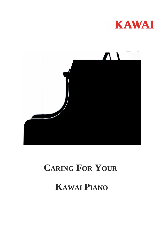



# **CARING FOR YOUR**

# **KAWAI PIANO**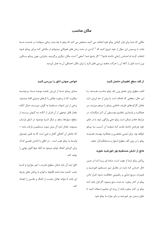# مكان مناسب

مکانی که شما برای قرار گرفتن پیانو خود انتخاب می کنید مشخص می کند که پیانو تا چه مدت زمانی میتوانـد در خـدمت شـما باشد. با پرسیدن این سوال از خود شروع کنید که " آیا من در مدت زمان های طـولانی میتـوانم در مکـانی کـه بـرای پیـانو خـود انتخاب کرده ام احساس راحتی داشته باشم؟ " اگر پاسخ شما "منفی" است، مکان دیگری برگزینید. بنابراین، چون پیـانو سـنگین وزن است، قبل از آنکه آن را حرکت بدهید بررسی های لازم را برای مکان احتمالی آن به عمل آوردید.

#### از کف سطح اطمینان حاصل کنید

اغلب سطوح برای تحمل وزن یک پیانو مناسب هستند. با این حال، سطحی که ناصاف است یا بیش از حد لرزش دارد تعادل کارکردهای طریف داخلـی پیـانو را بـرهم میزنـد، بـر عملکـرد و پایـداری تنظـیم موسـیقی آن اثـر میگـذارد. در شرایط حادتر ممکن است پیانو حتی واژگون شود یا در جای خود چرخش داشته باشـد کـه نتيجـه آن آسـيب بـه پيـانو خواهد بود. برای ایمنی شخصی و عملک د بهینــه، همیشـه پیانو را بر روی کف سطوح استوار و مستحکم قرار دهید.

### مانع از تابش مستقیم نور خورشید شوید

روكش پيانو شما از چوب است، مـاده اى زيبـا امـا در عـين حال حساس کـه بایـد در مقابـل نـور مسـتقیم خورشـید و تغییرات سریع دمایی و رطـوبتی حفاظـت شـود. قـرار دادن ییانو در کنار پنجره به شدت منع میشود. اگر قرار باشد ک پیانو در کنار پنجره باشد از پرده ای ضخیم استفاده کنید تا مانع رسیدن نور خورشید و سایر موارد به پیانو شود.

#### خواص صوتی اتاق را بررسی کنید

صدای پیـانو شـما از لـرزش تختـه موجـد صـدا سرچشـمه میگیرد، که از برخورد چکش با تارهای صـوتی القـا میشـود. برخی از این اصوات مستقیما به گوش میرسـند حـال آنکـه مقدار قابل توجهي از آن قبــل از آنكــه بــه گــوش برســند از سطح، دیوارها، سقف و دیگر اشـیا موجـود در اتـاق بازتـاب میشوند. تعادل ایده آل میان صوت مستقیم و بازتاب شده — كه حاصل آن آهنگي كامل و غني است كه به طــور معمــول وابسته به پیانو خوب است - در اتاقی با داشتن طنینی اندک برای گرمای آهنگ تولید میشود نه آنکه تنها اکوی نهایی را توليد كند.

اتاق ایده آل باید شامل سطوح نامرتب ( غیر موازی) و اشـیا جذب كننده صدا مانند قاليچه يا لوازم با روكش هاى يارچه ای باشد تا بتواند تعادل مناسب از آهنگ و طنـین را ایجـاد كند.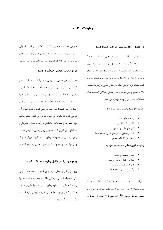# ر طوبت مناسب

#### در مقابل رطوبت بیش از چد احتیاط کنید

پیانو کاوایی شما از مواد طبیعی طراحـی شـده اسـت کـه " نفس میکشند" و شامل چوب های مرغـوب، نمـد پشـمی و چرم خالص و اصل است. از آنجایی که ماده هر جزء از پیـانو با توجه به دوام و مقاومتش نسبت به تاثیرات رطوبت انتخاب شده است، قرار گرفتن پیانو در مکان هایی با رطوبت بسـیار بالا یا بسیار پایین در دوره های زمانی طولانی آسـیب هـا و مشکلات جدی برای پیانو بوجود می آورد.

رطوبت بالا ممكن است منجر شود به :

- تولید صدای خفه
- واكنش كند اكشن
- گام های بلند و ناهموار
- تاب برداشتن یا شیاردار شدن صفخه صدا
	- زنگ زدن تارهای صوتی

رطوبت پايين ممكن است منجر شود به :

- مدای ضعیف و نحیف
- معلکرد کنش پر سر و صدا
	- گام های کوتاه و ناهموار
- ترک برداشتن صفحه صدا

با مراقبت و توجه مناسب و همچنین کنترل رطوبت محـیط پیانو میتوان از بروز بسیاری از مشکلات جلوگیری کرد. یک سطح رطوبت نسبی (RH) تقریبے ۴۵٪ ایـده آل اسـت در

صورتی که این سطح بین ۳۵٪ تا ۷۰٪ مقـدار قابـل قبـولی است. سطوح رطوبتی زیر ۲۵٪ و بالای ۸۰٪ برای چوب های مرغوب به کار رفته در قسمت های مختلف پیانو مضر است.

#### از نوسانات ر طوبتی جلوگیری کنید

تغییرات مکرر دمایی و رطوبتی به همراه استفاده از وسایل گرمایشی و سرمایشی و تهویه هـوا باعـث ایجـاد چگـالش و جمع شدن قطرات آب بر روی تارهای صـوتی و دیگـر اجـزا میشود که منجر به زنگ زدگی خواهد شـد. رطوبـت ممکــن است بر روی قسمت های نمدی جمع شود و باعث تـورم آن نواحی شود که نتیجه آن ایجاد تداخل در کنش پیانو خواهد بود. بسیاری از مشکلات چگـالش در آب و هـوای سـردتر و فضاهای بتن کاری شده همچون زیبر زمین شبایعتر است. بنابراین، تغییرات مداوم در رطوبت باعث ایجاد میزان ناپایدار و در نهایت منجر به وارد شدن آسیب جدی به پیانو خواهـد شد

#### پیانو خود را در مقابل رطوبت محافظت کنید

روزهای بارانی و مرطوب بسیار پر خطر هستند بـه خصـوص اگر به همراه بادهای سهمگین باشـند. پنجـره هـا و درهـا ۱٫ بسته نگاه دارید تا از نفوذ رطوبت به پیـانو جلـوگیری شـود. هنگامی که از پیانو استفاده نمی کنید سرپوش و برد قسمت بالا ,ا بسته نگه دارید.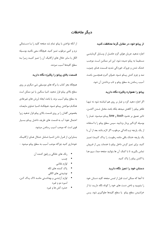# دىگر ملاحظات

#### از پیانو خود در مقابل گرما محافظت کنید

اجازه ندهید جریان هوای گرم حاصـل از وسـایل گرمایشـی مستقیما به پیانو دمیده شود. این امر ممکـن اسـت موجـب خشک شدن و چروک خوردگی شدید قسـمت هـای چـوب، نمد و چرم کنش پیـانو شـود. هـوای گـرم همچنـین باعـث آسیب رساندن به سطح پیانو و تاب برداشتن آن شود.

# پیانو را همواره پاکیزه نگاه دارید

اگر اجازه دهید گرد و غبار بر روی هم انباشته شود نه تنها ظاهر پيانو را كاهش ميدهد بلكه باعث مختل شـدن اكشـن، تاثير عميق بر نحـوه touch و tone پيـانو ميشـود. غبـار را بوسیله گردگیر پردار بزدایید. سپس سطح پیانو را با استفاده از یک پارچه نرم (اندکی مرطوب، اگر لازم باشد بعد از آن با یک پارچه خشک باقی مانده رطوبت را پـاک کنیـد) تمیـز کنید. برای تمیز کردن داخل پیانو با خدمات پس از فـروش تماس بگيريد تا با كمك آن ها بتوانيد صفحه صدا، سيم هـا یا اکشن پیانو را پاک کنید.

#### دستان خود را تمیز نگاه دارید

تا آنجا که ممکن است قبل از لمس صفحه کلید دستان خود را بشویید و ناخن دست های خود را کوتاه نگاه داریـد تـا از خراشیدن سطح پیانو ۔یا سطح کلیدها جلوگیری شود. پـس

از آنکه نواختن با پیانو تمام شد صفحه کلید را بـا دسـتمالی نرم و کمی مرطوب تمیز کنید. هیچگاه سعی نکنید بوسیله الکل یا سایر حلال های ارگانیک آن را تمیز کنیـد زیـرا بـه سطح كليدها آسيب ميزنند.

#### قسمت بالای پیانو را پاکیزه نگاه دارید

هیچگاه بجز کتاب یا برگه های موسیقی شی دیگری بر روی سطح بالای پیانو قرار ندهید. اشیا سنگین یا تیز ممکن است به سطح پیانو آسیب بزند یا باعث ایجاد لرزش های غیرعادی هنگــام نــواختن پيــانو شــود. هيچگــاه اشــيا حــاوي مايعــات بخصوص گلدان را بر روی قسمت بالای پیانو قرار ندهید زیرا احتمال نفوذ آب به قسمت های ظریف داخـل پیـانو بسـیار قوی است که موجب آسیب رساندن میشود.

بنـابراین، از قـرار دادن اشـیا شـامل حـلال هـای ارگانیـک خودداري كنيد چراكه موجب آسيب به سطح پيانو ميشود :

- دنگ های خانگی و رقیق کننده آن
	- چسب
	- لوازم نقاشى
	- ياک کننده های لکه
	- نوشيدني هاي الكلي
- لوازم آرایشے و بھداشتی ماننـد لاک پـاک کـن، اسپره مو و غیره
	- حشره کش ها و غیره